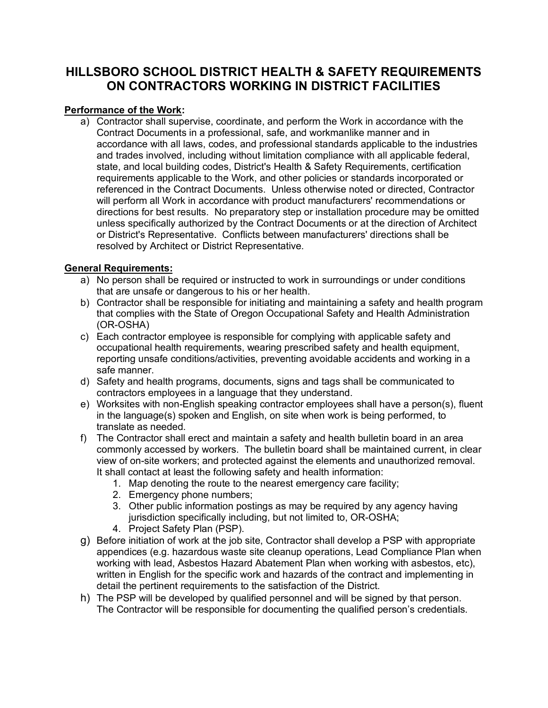# **HILLSBORO SCHOOL DISTRICT HEALTH & SAFETY REQUIREMENTS ON CONTRACTORS WORKING IN DISTRICT FACILITIES**

## **Performance of the Work:**

a) Contractor shall supervise, coordinate, and perform the Work in accordance with the Contract Documents in a professional, safe, and workmanlike manner and in accordance with all laws, codes, and professional standards applicable to the industries and trades involved, including without limitation compliance with all applicable federal, state, and local building codes, District's Health & Safety Requirements, certification requirements applicable to the Work, and other policies or standards incorporated or referenced in the Contract Documents. Unless otherwise noted or directed, Contractor will perform all Work in accordance with product manufacturers' recommendations or directions for best results. No preparatory step or installation procedure may be omitted unless specifically authorized by the Contract Documents or at the direction of Architect or District's Representative. Conflicts between manufacturers' directions shall be resolved by Architect or District Representative.

### **General Requirements:**

- a) No person shall be required or instructed to work in surroundings or under conditions that are unsafe or dangerous to his or her health.
- b) Contractor shall be responsible for initiating and maintaining a safety and health program that complies with the State of Oregon Occupational Safety and Health Administration (OR-OSHA)
- c) Each contractor employee is responsible for complying with applicable safety and occupational health requirements, wearing prescribed safety and health equipment, reporting unsafe conditions/activities, preventing avoidable accidents and working in a safe manner.
- d) Safety and health programs, documents, signs and tags shall be communicated to contractors employees in a language that they understand.
- e) Worksites with non-English speaking contractor employees shall have a person(s), fluent in the language(s) spoken and English, on site when work is being performed, to translate as needed.
- f) The Contractor shall erect and maintain a safety and health bulletin board in an area commonly accessed by workers. The bulletin board shall be maintained current, in clear view of on-site workers; and protected against the elements and unauthorized removal. It shall contact at least the following safety and health information:
	- 1. Map denoting the route to the nearest emergency care facility;
	- 2. Emergency phone numbers;
	- 3. Other public information postings as may be required by any agency having jurisdiction specifically including, but not limited to, OR-OSHA;
	- 4. Project Safety Plan (PSP).
- g) Before initiation of work at the job site, Contractor shall develop a PSP with appropriate appendices (e.g. hazardous waste site cleanup operations, Lead Compliance Plan when working with lead, Asbestos Hazard Abatement Plan when working with asbestos, etc), written in English for the specific work and hazards of the contract and implementing in detail the pertinent requirements to the satisfaction of the District.
- h) The PSP will be developed by qualified personnel and will be signed by that person. The Contractor will be responsible for documenting the qualified person's credentials.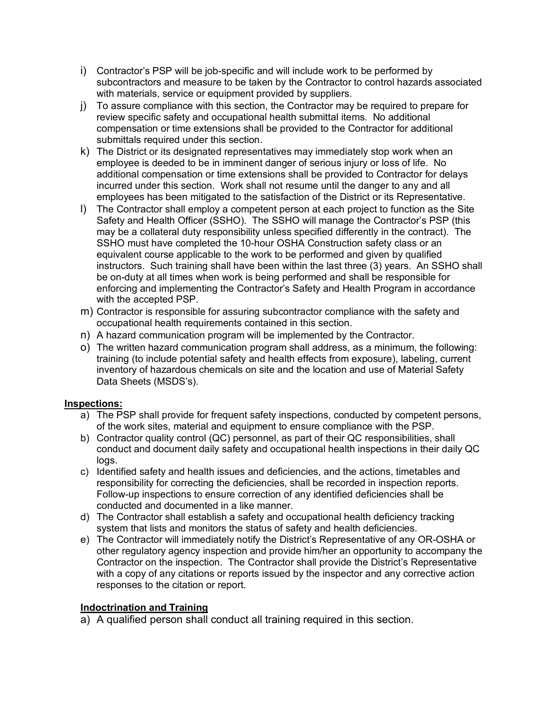- i) Contractor's PSP will be job-specific and will include work to be performed by subcontractors and measure to be taken by the Contractor to control hazards associated with materials, service or equipment provided by suppliers.
- j) To assure compliance with this section, the Contractor may be required to prepare for review specific safety and occupational health submittal items. No additional compensation or time extensions shall be provided to the Contractor for additional submittals required under this section.
- k) The District or its designated representatives may immediately stop work when an employee is deeded to be in imminent danger of serious injury or loss of life. No additional compensation or time extensions shall be provided to Contractor for delays incurred under this section. Work shall not resume until the danger to any and all employees has been mitigated to the satisfaction of the District or its Representative.
- l) The Contractor shall employ a competent person at each project to function as the Site Safety and Health Officer (SSHO). The SSHO will manage the Contractor's PSP (this may be a collateral duty responsibility unless specified differently in the contract). The SSHO must have completed the 10-hour OSHA Construction safety class or an equivalent course applicable to the work to be performed and given by qualified instructors. Such training shall have been within the last three (3) years. An SSHO shall be on-duty at all times when work is being performed and shall be responsible for enforcing and implementing the Contractor's Safety and Health Program in accordance with the accepted PSP.
- m) Contractor is responsible for assuring subcontractor compliance with the safety and occupational health requirements contained in this section.
- n) A hazard communication program will be implemented by the Contractor.
- o) The written hazard communication program shall address, as a minimum, the following: training (to include potential safety and health effects from exposure), labeling, current inventory of hazardous chemicals on site and the location and use of Material Safety Data Sheets (MSDS's).

#### **Inspections:**

- a) The PSP shall provide for frequent safety inspections, conducted by competent persons, of the work sites, material and equipment to ensure compliance with the PSP.
- b) Contractor quality control (QC) personnel, as part of their QC responsibilities, shall conduct and document daily safety and occupational health inspections in their daily QC logs.
- c) Identified safety and health issues and deficiencies, and the actions, timetables and responsibility for correcting the deficiencies, shall be recorded in inspection reports. Follow-up inspections to ensure correction of any identified deficiencies shall be conducted and documented in a like manner.
- d) The Contractor shall establish a safety and occupational health deficiency tracking system that lists and monitors the status of safety and health deficiencies.
- e) The Contractor will immediately notify the District's Representative of any OR-OSHA or other regulatory agency inspection and provide him/her an opportunity to accompany the Contractor on the inspection. The Contractor shall provide the District's Representative with a copy of any citations or reports issued by the inspector and any corrective action responses to the citation or report.

#### **Indoctrination and Training**

a) A qualified person shall conduct all training required in this section.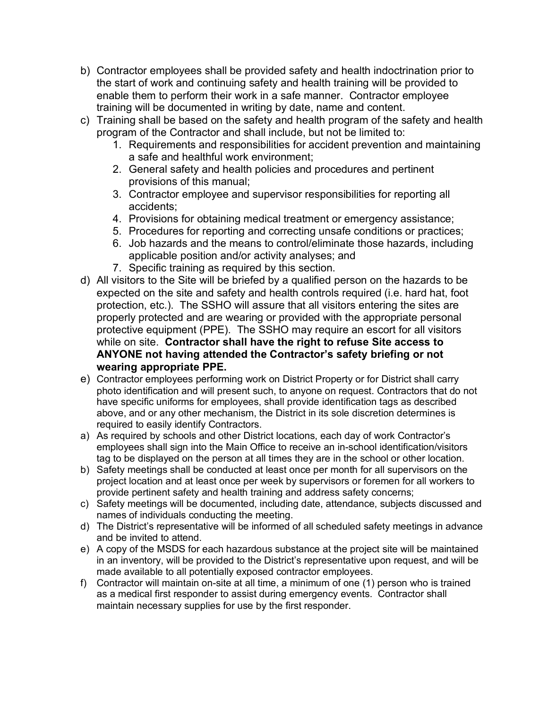- b) Contractor employees shall be provided safety and health indoctrination prior to the start of work and continuing safety and health training will be provided to enable them to perform their work in a safe manner. Contractor employee training will be documented in writing by date, name and content.
- c) Training shall be based on the safety and health program of the safety and health program of the Contractor and shall include, but not be limited to:
	- 1. Requirements and responsibilities for accident prevention and maintaining a safe and healthful work environment;
	- 2. General safety and health policies and procedures and pertinent provisions of this manual;
	- 3. Contractor employee and supervisor responsibilities for reporting all accidents;
	- 4. Provisions for obtaining medical treatment or emergency assistance;
	- 5. Procedures for reporting and correcting unsafe conditions or practices;
	- 6. Job hazards and the means to control/eliminate those hazards, including applicable position and/or activity analyses; and
	- 7. Specific training as required by this section.
- d) All visitors to the Site will be briefed by a qualified person on the hazards to be expected on the site and safety and health controls required (i.e. hard hat, foot protection, etc.). The SSHO will assure that all visitors entering the sites are properly protected and are wearing or provided with the appropriate personal protective equipment (PPE). The SSHO may require an escort for all visitors while on site. **Contractor shall have the right to refuse Site access to ANYONE not having attended the Contractor's safety briefing or not wearing appropriate PPE.**
- e) Contractor employees performing work on District Property or for District shall carry photo identification and will present such, to anyone on request. Contractors that do not have specific uniforms for employees, shall provide identification tags as described above, and or any other mechanism, the District in its sole discretion determines is required to easily identify Contractors.
- a) As required by schools and other District locations, each day of work Contractor's employees shall sign into the Main Office to receive an in-school identification/visitors tag to be displayed on the person at all times they are in the school or other location.
- b) Safety meetings shall be conducted at least once per month for all supervisors on the project location and at least once per week by supervisors or foremen for all workers to provide pertinent safety and health training and address safety concerns;
- c) Safety meetings will be documented, including date, attendance, subjects discussed and names of individuals conducting the meeting.
- d) The District's representative will be informed of all scheduled safety meetings in advance and be invited to attend.
- e) A copy of the MSDS for each hazardous substance at the project site will be maintained in an inventory, will be provided to the District's representative upon request, and will be made available to all potentially exposed contractor employees.
- f) Contractor will maintain on-site at all time, a minimum of one (1) person who is trained as a medical first responder to assist during emergency events. Contractor shall maintain necessary supplies for use by the first responder.